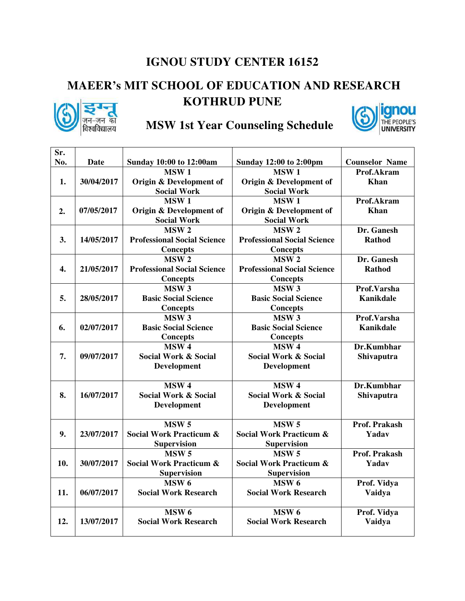#### **IGNOU STUDY CENTER 16152**

### **MAEER's MIT SCHOOL OF EDUCATION AND RESEARCH**



#### **KOTHRUD PUNE**



## गन-जन का MSW 1st Year Counseling Schedule

| Sr. |             |                                    |                                    |                       |
|-----|-------------|------------------------------------|------------------------------------|-----------------------|
| No. | <b>Date</b> | <b>Sunday 10:00 to 12:00am</b>     | <b>Sunday 12:00 to 2:00pm</b>      | <b>Counselor Name</b> |
|     |             | MSW <sub>1</sub>                   | MSW <sub>1</sub>                   | Prof.Akram            |
| 1.  | 30/04/2017  | Origin & Development of            | Origin & Development of            | <b>Khan</b>           |
|     |             | <b>Social Work</b>                 | <b>Social Work</b>                 |                       |
|     |             | MSW <sub>1</sub>                   | MSW <sub>1</sub>                   | Prof.Akram            |
| 2.  | 07/05/2017  | Origin & Development of            | Origin & Development of            | Khan                  |
|     |             | <b>Social Work</b>                 | <b>Social Work</b>                 |                       |
|     |             | MSW <sub>2</sub>                   | MSW <sub>2</sub>                   | Dr. Ganesh            |
| 3.  | 14/05/2017  | <b>Professional Social Science</b> | <b>Professional Social Science</b> | Rathod                |
|     |             | <b>Concepts</b>                    | <b>Concepts</b>                    |                       |
|     |             | MSW <sub>2</sub>                   | MSW <sub>2</sub>                   | Dr. Ganesh            |
| 4.  | 21/05/2017  | <b>Professional Social Science</b> | <b>Professional Social Science</b> | <b>Rathod</b>         |
|     |             | <b>Concepts</b>                    | <b>Concepts</b>                    |                       |
|     |             | MSW <sub>3</sub>                   | MSW <sub>3</sub>                   | Prof.Varsha           |
| 5.  | 28/05/2017  | <b>Basic Social Science</b>        | <b>Basic Social Science</b>        | <b>Kanikdale</b>      |
|     |             | <b>Concepts</b>                    | Concepts                           |                       |
|     |             | MSW <sub>3</sub>                   | MSW <sub>3</sub>                   | Prof.Varsha           |
| 6.  | 02/07/2017  | <b>Basic Social Science</b>        | <b>Basic Social Science</b>        | <b>Kanikdale</b>      |
|     |             | <b>Concepts</b>                    | <b>Concepts</b>                    |                       |
|     |             | MSW <sub>4</sub>                   | MSW <sub>4</sub>                   | Dr.Kumbhar            |
| 7.  | 09/07/2017  | <b>Social Work &amp; Social</b>    | <b>Social Work &amp; Social</b>    | <b>Shivaputra</b>     |
|     |             | Development                        | Development                        |                       |
|     |             | MSW <sub>4</sub>                   | MSW <sub>4</sub>                   | Dr.Kumbhar            |
| 8.  | 16/07/2017  | <b>Social Work &amp; Social</b>    | Social Work & Social               |                       |
|     |             |                                    |                                    | <b>Shivaputra</b>     |
|     |             | <b>Development</b>                 | <b>Development</b>                 |                       |
|     |             | MSW <sub>5</sub>                   | MSW <sub>5</sub>                   | Prof. Prakash         |
| 9.  | 23/07/2017  | <b>Social Work Practicum &amp;</b> | <b>Social Work Practicum &amp;</b> | Yadav                 |
|     |             | <b>Supervision</b>                 | <b>Supervision</b>                 |                       |
|     |             | MSW <sub>5</sub>                   | <b>MSW 5</b>                       | <b>Prof. Prakash</b>  |
| 10. | 30/07/2017  | <b>Social Work Practicum &amp;</b> | <b>Social Work Practicum &amp;</b> | Yadav                 |
|     |             | <b>Supervision</b>                 | <b>Supervision</b>                 |                       |
|     |             | MSW <sub>6</sub>                   | MSW <sub>6</sub>                   | Prof. Vidya           |
| 11. | 06/07/2017  | <b>Social Work Research</b>        | <b>Social Work Research</b>        | Vaidya                |
|     |             |                                    |                                    |                       |
|     |             | MSW <sub>6</sub>                   | MSW <sub>6</sub>                   | Prof. Vidya           |
| 12. | 13/07/2017  | <b>Social Work Research</b>        | <b>Social Work Research</b>        | Vaidya                |
|     |             |                                    |                                    |                       |